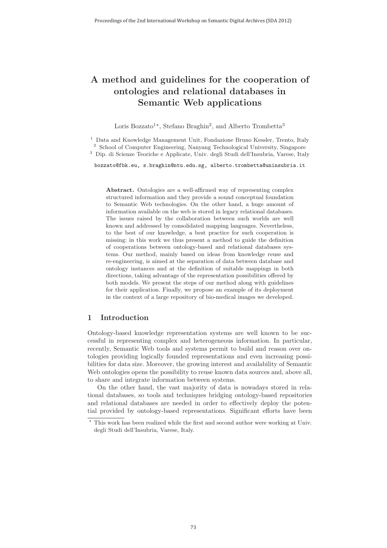# **A method and guidelines for the cooperation of ontologies and relational databases in Semantic Web applications**

Loris Bozzato<sup>1\*</sup>, Stefano Braghin<sup>2</sup>, and Alberto Trombetta<sup>3</sup>

<sup>1</sup> Data and Knowledge Management Unit, Fondazione Bruno Kessler, Trento, Italy <sup>2</sup> School of Computer Engineering, Nanyang Technological University, Singapore <sup>3</sup> Dip. di Scienze Teoriche e Applicate, Univ. degli Studi dell'Insubria, Varese, Italy

bozzato@fbk.eu, s.braghin@ntu.edu.sg, alberto.trombetta@uninsubria.it

**Abstract.** Ontologies are a well-affirmed way of representing complex structured information and they provide a sound conceptual foundation to Semantic Web technologies. On the other hand, a huge amount of information available on the web is stored in legacy relational databases. The issues raised by the collaboration between such worlds are well known and addressed by consolidated mapping languages. Nevertheless, to the best of our knowledge, a best practice for such cooperation is missing: in this work we thus present a method to guide the definition of cooperations between ontology-based and relational databases systems. Our method, mainly based on ideas from knowledge reuse and re-engineering, is aimed at the separation of data between database and ontology instances and at the definition of suitable mappings in both directions, taking advantage of the representation possibilities offered by both models. We present the steps of our method along with guidelines for their application. Finally, we propose an example of its deployment in the context of a large repository of bio-medical images we developed.

# **1 Introduction**

Ontology-based knowledge representation systems are well known to be successful in representing complex and heterogeneous information. In particular, recently, Semantic Web tools and systems permit to build and reason over ontologies providing logically founded representations and even increasing possibilities for data size. Moreover, the growing interest and availability of Semantic Web ontologies opens the possibility to reuse known data sources and, above all, to share and integrate information between systems.

On the other hand, the vast majority of data is nowadays stored in relational databases, so tools and techniques bridging ontology-based repositories and relational databases are needed in order to effectively deploy the potential provided by ontology-based representations. Significant efforts have been

<sup>\*</sup> This work has been realized while the first and second author were working at Univ. degli Studi dell'Insubria, Varese, Italy.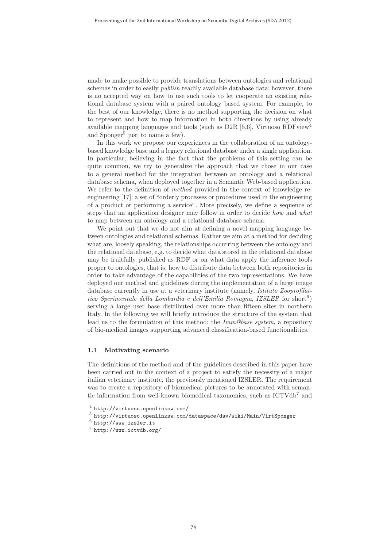made to make possible to provide translations between ontologies and relational schemas in order to easily *publish* readily available database data: however, there is no accepted way on how to use such tools to let cooperate an existing relational database system with a paired ontology based system. For example, to the best of our knowledge, there is no method supporting the decision on what to represent and how to map information in both directions by using already available mapping languages and tools (such as D2R [5,6], Virtuoso RDFview<sup>4</sup> and  $S$ ponger<sup>5</sup> just to name a few).

In this work we propose our experiences in the collaboration of an ontologybased knowledge base and a legacy relational database under a single application. In particular, believing in the fact that the problems of this setting can be quite common, we try to generalize the approach that we chose in our case to a general method for the integration between an ontology and a relational database schema, when deployed together in a Semantic Web-based application. We refer to the definition of *method* provided in the context of knowledge reengineering [17]: a set of "orderly processes or procedures used in the engineering of a product or performing a service". More precisely, we define a sequence of steps that an application designer may follow in order to decide how and what to map between an ontology and a relational database schema.

We point out that we do not aim at defining a novel mapping language between ontologies and relational schemas. Rather we aim at a method for deciding what are, loosely speaking, the relationships occurring between the ontology and the relational database, e.g. to decide what data stored in the relational database may be fruitfully published as RDF or on what data apply the inference tools proper to ontologies, that is, how to distribute data between both repositories in order to take advantage of the capabilities of the two representations. We have deployed our method and guidelines during the implementation of a large image database currently in use at a veterinary institute (namely, Istituto Zooprofilattico Sperimentale della Lombardia e dell'Emilia Romagna, IZSLER for short<sup>6</sup>) serving a large user base distributed over more than fifteen sites in northern Italy. In the following we will briefly introduce the structure of the system that lead us to the formulation of this method: the  $Imm@base$  system, a repository of bio-medical images supporting advanced classification-based functionalities.

#### **1.1 Motivating scenario**

The definitions of the method and of the guidelines described in this paper have been carried out in the context of a project to satisfy the necessity of a major italian veterinary institute, the previously mentioned IZSLER. The requirement was to create a repository of biomedical pictures to be annotated with semantic information from well-known biomedical taxonomies, such as ICTVdb<sup>7</sup> and

<sup>4</sup> http://virtuoso.openlinksw.com/

 $^5$ http://virtuoso.openlinksw.com/dataspace/dav/wiki/Main/VirtSponger

 $6$  http://www.izsler.it

<sup>7</sup> http://www.ictvdb.org/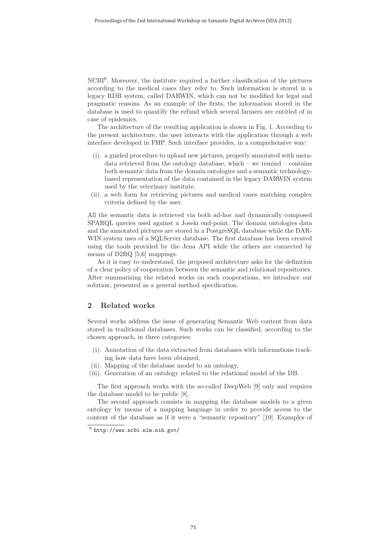NCBI<sup>8</sup>. Moreover, the institute required a further classification of the pictures according to the medical cases they refer to. Such information is stored in a legacy RDB system, called DARWIN, which can not be modified for legal and pragmatic reasons. As an example of the firsts, the information stored in the database is used to quantify the refund which several farmers are entitled of in case of epidemics.

The architecture of the resulting application is shown in Fig. 1. According to the present architecture, the user interacts with the application through a web interface developed in PHP. Such interface provides, in a comprehensive way:

- (i). a guided procedure to upload new pictures, properly annotated with metadata retrieved from the ontology database, which – we remind – contains both semantic data from the domain ontologies and a semantic technologybased representation of the data contained in the legacy DARWIN system used by the veterinary institute.
- (ii). a web form for retrieving pictures and medical cases matching complex criteria defined by the user.

All the semantic data is retrieved via both ad-hoc and dynamically composed SPARQL queries used against a Joseki end-point. The domain ontologies data and the annotated pictures are stored in a PostgreSQL database while the DAR-WIN system uses of a SQLServer database. The first database has been created using the tools provided by the Jena API while the others are connected by means of D2RQ [5,6] mappings.

As it is easy to understand, the proposed architecture asks for the definition of a clear policy of cooperation between the semantic and relational repositories. After summarizing the related works on such cooperations, we introduce our solution, presented as a general method specification.

## **2 Related works**

Several works address the issue of generating Semantic Web content from data stored in traditional databases. Such works can be classified, according to the chosen approach, in three categories:

- (i). Annotation of the data extracted from databases with informations tracking how data have been obtained,
- (ii). Mapping of the database model to an ontology,
- (iii). Generation of an ontology related to the relational model of the DB.

The first approach works with the so-called DeepWeb [9] only and requires the database model to be public [8].

The second approach consists in mapping the database models to a given ontology by means of a mapping language in order to provide access to the content of the database as if it were a "semantic repository" [19]. Examples of

<sup>8</sup> http://www.ncbi.nlm.nih.gov/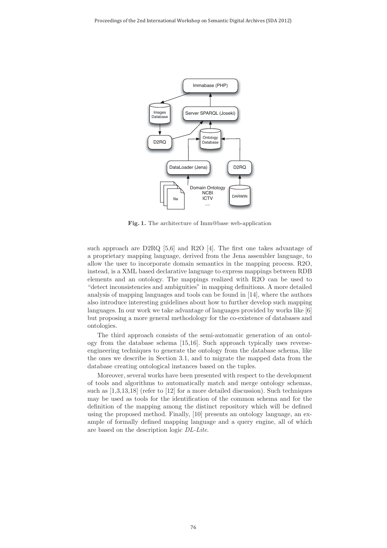

**Fig. 1.** The architecture of Imm@base web-application

such approach are  $D2RQ$  [5,6] and R2O [4]. The first one takes advantage of a proprietary mapping language, derived from the Jena assembler language, to allow the user to incorporate domain semantics in the mapping process. R2O, instead, is a XML based declarative language to express mappings between RDB elements and an ontology. The mappings realized with R2O can be used to "detect inconsistencies and ambiguities" in mapping definitions. A more detailed analysis of mapping languages and tools can be found in [14], where the authors also introduce interesting guidelines about how to further develop such mapping languages. In our work we take advantage of languages provided by works like [6] but proposing a more general methodology for the co-existence of databases and ontologies.

The third approach consists of the semi-automatic generation of an ontology from the database schema [15,16]. Such approach typically uses reverseengineering techniques to generate the ontology from the database schema, like the ones we describe in Section 3.1, and to migrate the mapped data from the database creating ontological instances based on the tuples.

Moreover, several works have been presented with respect to the development of tools and algorithms to automatically match and merge ontology schemas, such as [1,3,13,18] (refer to [12] for a more detailed discussion). Such techniques may be used as tools for the identification of the common schema and for the definition of the mapping among the distinct repository which will be defined using the proposed method. Finally, [10] presents an ontology language, an example of formally defined mapping language and a query engine, all of which are based on the description logic DL-Lite.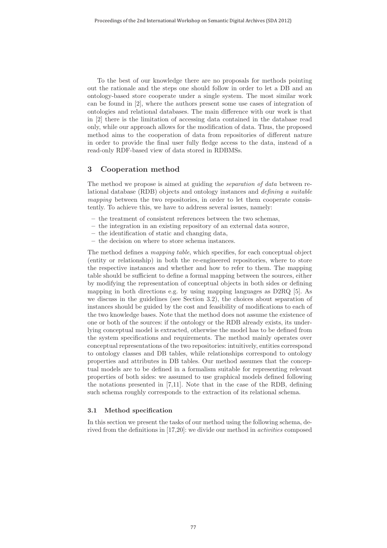To the best of our knowledge there are no proposals for methods pointing out the rationale and the steps one should follow in order to let a DB and an ontology-based store cooperate under a single system. The most similar work can be found in [2], where the authors present some use cases of integration of ontologies and relational databases. The main difference with our work is that in [2] there is the limitation of accessing data contained in the database read only, while our approach allows for the modification of data. Thus, the proposed method aims to the cooperation of data from repositories of different nature in order to provide the final user fully fledge access to the data, instead of a read-only RDF-based view of data stored in RDBMSs.

## **3 Cooperation method**

The method we propose is aimed at guiding the *separation of data* between relational database (RDB) objects and ontology instances and defining a suitable mapping between the two repositories, in order to let them cooperate consistently. To achieve this, we have to address several issues, namely:

- **–** the treatment of consistent references between the two schemas,
- **–** the integration in an existing repository of an external data source,
- **–** the identification of static and changing data,
- **–** the decision on where to store schema instances.

The method defines a mapping table, which specifies, for each conceptual object (entity or relationship) in both the re-engineered repositories, where to store the respective instances and whether and how to refer to them. The mapping table should be sufficient to define a formal mapping between the sources, either by modifying the representation of conceptual objects in both sides or defining mapping in both directions e.g. by using mapping languages as D2RQ [5]. As we discuss in the guidelines (see Section 3.2), the choices about separation of instances should be guided by the cost and feasibility of modifications to each of the two knowledge bases. Note that the method does not assume the existence of one or both of the sources: if the ontology or the RDB already exists, its underlying conceptual model is extracted, otherwise the model has to be defined from the system specifications and requirements. The method mainly operates over conceptual representations of the two repositories: intuitively, entities correspond to ontology classes and DB tables, while relationships correspond to ontology properties and attributes in DB tables. Our method assumes that the conceptual models are to be defined in a formalism suitable for representing relevant properties of both sides: we assumed to use graphical models defined following the notations presented in [7,11]. Note that in the case of the RDB, defining such schema roughly corresponds to the extraction of its relational schema.

#### **3.1 Method specification**

In this section we present the tasks of our method using the following schema, derived from the definitions in [17,20]: we divide our method in activities composed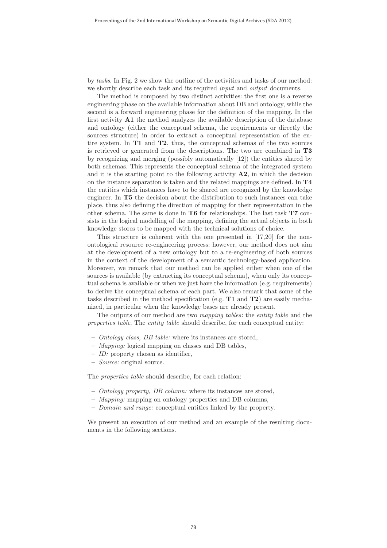by tasks. In Fig. 2 we show the outline of the activities and tasks of our method: we shortly describe each task and its required *input* and *output* documents.

The method is composed by two distinct activities: the first one is a reverse engineering phase on the available information about DB and ontology, while the second is a forward engineering phase for the definition of the mapping. In the first activity **A1** the method analyzes the available description of the database and ontology (either the conceptual schema, the requirements or directly the sources structure) in order to extract a conceptual representation of the entire system. In **T1** and **T2**, thus, the conceptual schemas of the two sources is retrieved or generated from the descriptions. The two are combined in **T3** by recognizing and merging (possibly automatically [12]) the entities shared by both schemas. This represents the conceptual schema of the integrated system and it is the starting point to the following activity **A2**, in which the decision on the instance separation is taken and the related mappings are defined. In **T4** the entities which instances have to be shared are recognized by the knowledge engineer. In **T5** the decision about the distribution to such instances can take place, thus also defining the direction of mapping for their representation in the other schema. The same is done in **T6** for relationships. The last task **T7** consists in the logical modelling of the mapping, defining the actual objects in both knowledge stores to be mapped with the technical solutions of choice.

This structure is coherent with the one presented in [17,20] for the nonontological resource re-engineering process: however, our method does not aim at the development of a new ontology but to a re-engineering of both sources in the context of the development of a semantic technology-based application. Moreover, we remark that our method can be applied either when one of the sources is available (by extracting its conceptual schema), when only its conceptual schema is available or when we just have the information (e.g. requirements) to derive the conceptual schema of each part. We also remark that some of the tasks described in the method specification (e.g. **T1** and **T2**) are easily mechanized, in particular when the knowledge bases are already present.

The outputs of our method are two mapping tables: the entity table and the properties table. The entity table should describe, for each conceptual entity:

- **–** Ontology class, DB table: where its instances are stored,
- **–** Mapping: logical mapping on classes and DB tables,
- **–** ID: property chosen as identifier,
- **–** Source: original source.

The properties table should describe, for each relation:

- **–** Ontology property, DB column: where its instances are stored,
- **–** Mapping: mapping on ontology properties and DB columns,
- **–** Domain and range: conceptual entities linked by the property.

We present an execution of our method and an example of the resulting documents in the following sections.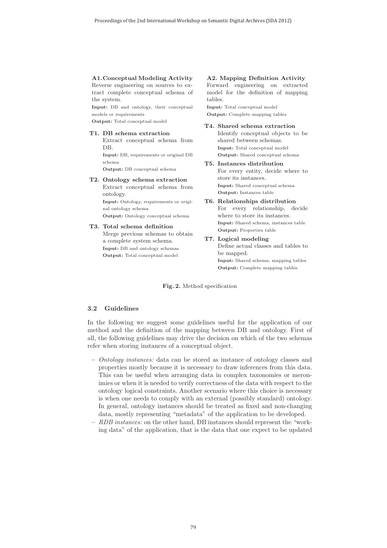**A1.Conceptual Modeling Activity** Reverse engineering on sources to extract complete conceptual schema of the system.

**Input:** DB and ontology, their conceptual models or requirements

**Output:** Total conceptual model

### **T1. DB schema extraction**

Extract conceptual schema from DB.

**Input:** DB, requirements or original DB schema

**Output:** DB conceptual schema

## **T2. Ontology schema extraction** Extract conceptual schema from ontology. **Input:** Ontology, requirements or origi-

nal ontology schema **Output:** Ontology conceptual schema

**T3. Total schema definition** Merge previous schemas to obtain a complete system schema. **Input:** DB and ontology schemas **Output:** Total conceptual model

#### **A2. Mapping Definition Activity**

Forward engineering on extracted model for the definition of mapping tables.

**Input:** Total conceptual model **Output:** Complete mapping tables

**T4. Shared schema extraction** Identify conceptual objects to be shared between schemas. **Input:** Total conceptual model **Output:** Shared conceptual schema

#### **T5. Instances distribution** For every entity, decide where to store its instances. **Input:** Shared conceptual schema **Output:** Instances table

- **T6. Relationships distribution** For every relationship, decide where to store its instances. **Input:** Shared schema, instances table **Output:** Properties table
- **T7. Logical modeling** Define actual classes and tables to be mapped. **Input:** Shared schema, mapping tables **Output:** Complete mapping tables

**Fig. 2.** Method specification

#### **3.2 Guidelines**

In the following we suggest some guidelines useful for the application of our method and the definition of the mapping between DB and ontology. First of all, the following guidelines may drive the decision on which of the two schemas refer when storing instances of a conceptual object.

- **–** Ontology instances: data can be stored as instance of ontology classes and properties mostly because it is necessary to draw inferences from this data. This can be useful when arranging data in complex taxonomies or meronimies or when it is needed to verify correctness of the data with respect to the ontology logical constraints. Another scenario where this choice is necessary is when one needs to comply with an external (possibly standard) ontology. In general, ontology instances should be treated as fixed and non-changing data, mostly representing "metadata" of the application to be developed.
- **–** RDB instances: on the other hand, DB instances should represent the "working data" of the application, that is the data that one expect to be updated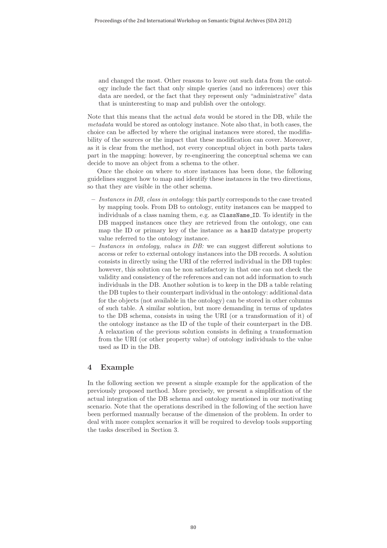and changed the most. Other reasons to leave out such data from the ontology include the fact that only simple queries (and no inferences) over this data are needed, or the fact that they represent only "administrative" data that is uninteresting to map and publish over the ontology.

Note that this means that the actual data would be stored in the DB, while the metadata would be stored as ontology instance. Note also that, in both cases, the choice can be affected by where the original instances were stored, the modifiability of the sources or the impact that these modification can cover. Moreover, as it is clear from the method, not every conceptual object in both parts takes part in the mapping: however, by re-engineering the conceptual schema we can decide to move an object from a schema to the other.

Once the choice on where to store instances has been done, the following guidelines suggest how to map and identify these instances in the two directions, so that they are visible in the other schema.

- **–** Instances in DB, class in ontology: this partly corresponds to the case treated by mapping tools. From DB to ontology, entity instances can be mapped to individuals of a class naming them, e.g. as ClassName ID. To identify in the DB mapped instances once they are retrieved from the ontology, one can map the ID or primary key of the instance as a hasID datatype property value referred to the ontology instance.
- **–** Instances in ontology, values in DB: we can suggest different solutions to access or refer to external ontology instances into the DB records. A solution consists in directly using the URI of the referred individual in the DB tuples: however, this solution can be non satisfactory in that one can not check the validity and consistency of the references and can not add information to such individuals in the DB. Another solution is to keep in the DB a table relating the DB tuples to their counterpart individual in the ontology: additional data for the objects (not available in the ontology) can be stored in other columns of such table. A similar solution, but more demanding in terms of updates to the DB schema, consists in using the URI (or a transformation of it) of the ontology instance as the ID of the tuple of their counterpart in the DB. A relaxation of the previous solution consists in defining a transformation from the URI (or other property value) of ontology individuals to the value used as ID in the DB.

## **4 Example**

In the following section we present a simple example for the application of the previously proposed method. More precisely, we present a simplification of the actual integration of the DB schema and ontology mentioned in our motivating scenario. Note that the operations described in the following of the section have been performed manually because of the dimension of the problem. In order to deal with more complex scenarios it will be required to develop tools supporting the tasks described in Section 3.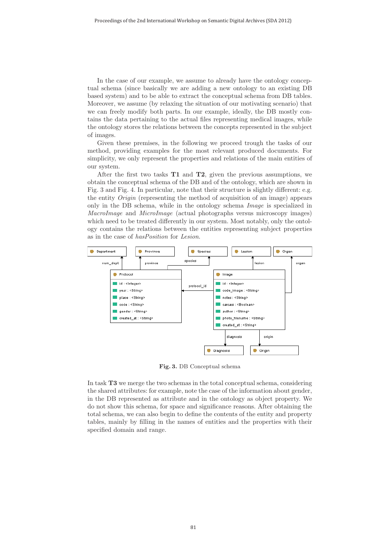In the case of our example, we assume to already have the ontology conceptual schema (since basically we are adding a new ontology to an existing DB based system) and to be able to extract the conceptual schema from DB tables. Moreover, we assume (by relaxing the situation of our motivating scenario) that we can freely modify both parts. In our example, ideally, the DB mostly contains the data pertaining to the actual files representing medical images, while the ontology stores the relations between the concepts represented in the subject of images.

Given these premises, in the following we proceed trough the tasks of our method, providing examples for the most relevant produced documents. For simplicity, we only represent the properties and relations of the main entities of our system.

After the first two tasks **T1** and **T2**, given the previous assumptions, we obtain the conceptual schema of the DB and of the ontology, which are shown in Fig. 3 and Fig. 4. In particular, note that their structure is slightly different: e.g. the entity Origin (representing the method of acquisition of an image) appears only in the DB schema, while in the ontology schema Image is specialized in MacroImage and MicroImage (actual photographs versus microscopy images) which need to be treated differently in our system. Most notably, only the ontology contains the relations between the entities representing subject properties as in the case of hasPosition for Lesion.



**Fig. 3.** DB Conceptual schema

In task **T3** we merge the two schemas in the total conceptual schema, considering the shared attributes: for example, note the case of the information about gender, in the DB represented as attribute and in the ontology as object property. We do not show this schema, for space and significance reasons. After obtaining the total schema, we can also begin to define the contents of the entity and property tables, mainly by filling in the names of entities and the properties with their specified domain and range.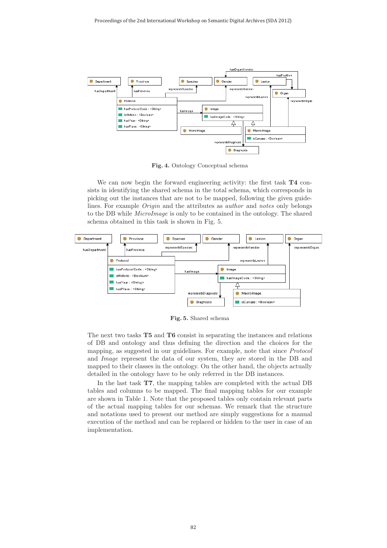

**Fig. 4.** Ontology Conceptual schema

We can now begin the forward engineering activity: the first task **T4** consists in identifying the shared schema in the total schema, which corresponds in picking out the instances that are not to be mapped, following the given guidelines. For example Origin and the attributes as author and notes only belongs to the DB while MicroImage is only to be contained in the ontology. The shared schema obtained in this task is shown in Fig. 5.



**Fig. 5.** Shared schema

The next two tasks **T5** and **T6** consist in separating the instances and relations of DB and ontology and thus defining the direction and the choices for the mapping, as suggested in our guidelines. For example, note that since Protocol and Image represent the data of our system, they are stored in the DB and mapped to their classes in the ontology. On the other hand, the objects actually detailed in the ontology have to be only referred in the DB instances.

In the last task **T7**, the mapping tables are completed with the actual DB tables and columns to be mapped. The final mapping tables for our example are shown in Table 1. Note that the proposed tables only contain relevant parts of the actual mapping tables for our schemas. We remark that the structure and notations used to present our method are simply suggestions for a manual execution of the method and can be replaced or hidden to the user in case of an implementation.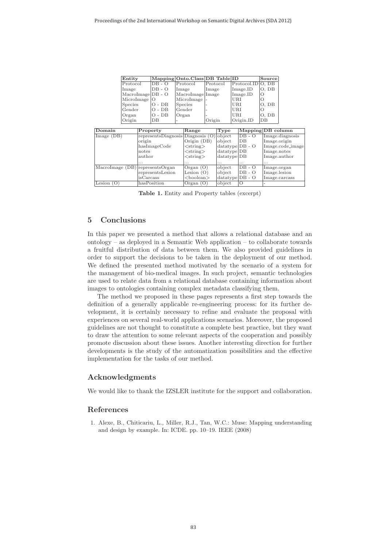| Entity              |                     | Mapping Onto.Class DB Table ID |          |                       | Source   |
|---------------------|---------------------|--------------------------------|----------|-----------------------|----------|
| Protocol            | $\overline{DB}$ - O | Protocol                       | Protocol | $Protocol.ID$ $O, DB$ |          |
| Image               | $DB - O$            | Image                          | Image    | Image.ID              | O. DB    |
| $Macrolmage DB - O$ |                     | MacroImage Image               |          | Image.ID              | $\Omega$ |
| MicroImage  O       |                     | MicroImage                     |          | URI                   |          |
| Species             | $O - DB$            | Species                        |          | URI                   | O. DB    |
| Gender              | $O - DB$            | Gender                         |          | URI                   |          |
| Organ               | $O - DB$            | Organ                          |          | URI                   | O. DB    |
| Origin              | DB                  |                                | Origin   | Origin.ID             | IDB      |

| Domain                               | Property                        | Range                      | Type                     |          | Mapping DB column |
|--------------------------------------|---------------------------------|----------------------------|--------------------------|----------|-------------------|
| $\text{Image}(\overline{\text{DB}})$ | representsDiagnosis Diagnosis O |                            | object                   | $DB - O$ | Image.diagnosis   |
|                                      | origin                          | Origin (DB)                | $_{\rm object}$          | DB       | Image.origin      |
|                                      | hasImageCode                    | $\langle$ string $\rangle$ | $ {\rm datatype} DB - O$ |          | Image.code_image  |
|                                      | notes                           | $\langle$ string $\rangle$ | datatype DB              |          | Image.notes       |
|                                      | author                          | $\langle$ string $\rangle$ | datatype DB              |          | Image.author      |
|                                      | $\cdots$                        | $\cdots$                   | $\cdots$                 | $\cdots$ | $\cdots$          |
| MacroImage (DB) representsOrgan      |                                 | Organ $(O)$                | $_{\rm object}$          | $DB - O$ | Image.organ       |
|                                      | representsLesion                | Lesion $(O)$               | object                   | DB - O   | Image.lesion      |
|                                      | isCarcass                       | $<$ boolean $>$            | $ datatype DB - O$       |          | Image.carcass     |
| Lesion $(O)$                         | hasPosition                     | Organ $(O)$                | object                   | Ю        |                   |

**Table 1.** Entity and Property tables (excerpt)

# **5 Conclusions**

In this paper we presented a method that allows a relational database and an ontology – as deployed in a Semantic Web application – to collaborate towards a fruitful distribution of data between them. We also provided guidelines in order to support the decisions to be taken in the deployment of our method. We defined the presented method motivated by the scenario of a system for the management of bio-medical images. In such project, semantic technologies are used to relate data from a relational database containing information about images to ontologies containing complex metadata classifying them.

The method we proposed in these pages represents a first step towards the definition of a generally applicable re-engineering process: for its further development, it is certainly necessary to refine and evaluate the proposal with experiences on several real-world applications scenarios. Moreover, the proposed guidelines are not thought to constitute a complete best practice, but they want to draw the attention to some relevant aspects of the cooperation and possibly promote discussion about these issues. Another interesting direction for further developments is the study of the automatization possibilities and the effective implementation for the tasks of our method.

## **Acknowledgments**

We would like to thank the IZSLER institute for the support and collaboration.

# **References**

1. Alexe, B., Chiticariu, L., Miller, R.J., Tan, W.C.: Muse: Mapping understanding and design by example. In: ICDE. pp. 10–19. IEEE (2008)